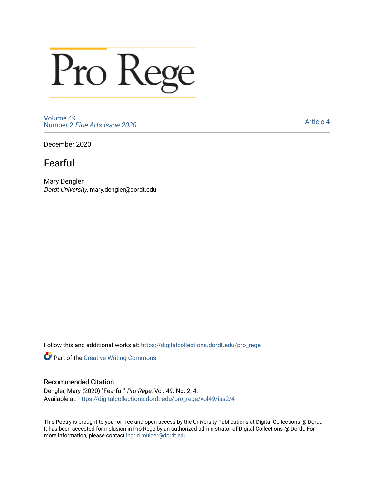## Pro Rege

[Volume 49](https://digitalcollections.dordt.edu/pro_rege/vol49) Number 2 [Fine Arts Issue 2020](https://digitalcollections.dordt.edu/pro_rege/vol49/iss2) 

[Article 4](https://digitalcollections.dordt.edu/pro_rege/vol49/iss2/4) 

December 2020

## Fearful

Mary Dengler Dordt University, mary.dengler@dordt.edu

Follow this and additional works at: [https://digitalcollections.dordt.edu/pro\\_rege](https://digitalcollections.dordt.edu/pro_rege?utm_source=digitalcollections.dordt.edu%2Fpro_rege%2Fvol49%2Fiss2%2F4&utm_medium=PDF&utm_campaign=PDFCoverPages) 

Part of the [Creative Writing Commons](http://network.bepress.com/hgg/discipline/574?utm_source=digitalcollections.dordt.edu%2Fpro_rege%2Fvol49%2Fiss2%2F4&utm_medium=PDF&utm_campaign=PDFCoverPages) 

## Recommended Citation

Dengler, Mary (2020) "Fearful," Pro Rege: Vol. 49: No. 2, 4. Available at: [https://digitalcollections.dordt.edu/pro\\_rege/vol49/iss2/4](https://digitalcollections.dordt.edu/pro_rege/vol49/iss2/4?utm_source=digitalcollections.dordt.edu%2Fpro_rege%2Fvol49%2Fiss2%2F4&utm_medium=PDF&utm_campaign=PDFCoverPages) 

This Poetry is brought to you for free and open access by the University Publications at Digital Collections @ Dordt. It has been accepted for inclusion in Pro Rege by an authorized administrator of Digital Collections @ Dordt. For more information, please contact [ingrid.mulder@dordt.edu.](mailto:ingrid.mulder@dordt.edu)